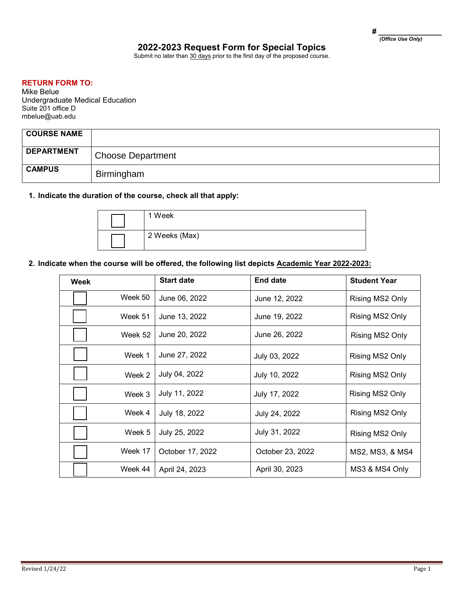# **2022-2023 Request Form for Special Topics**

Submit no later than 30 days prior to the first day of the proposed course.

## **RETURN FORM TO:**

Mike Belue Undergraduate Medical Education Suite 201 office D mbelue@uab.edu

| <b>COURSE NAME</b> |                          |
|--------------------|--------------------------|
| <b>DEPARTMENT</b>  | <b>Choose Department</b> |
| <b>CAMPUS</b>      | Birmingham               |

## **1. Indicate the duration of the course, check all that apply:**

| 1 Week        |
|---------------|
| 2 Weeks (Max) |

### **2. Indicate when the course will be offered, the following list depicts Academic Year 2022-2023:**

| Week |         | <b>Start date</b> | End date         | <b>Student Year</b> |
|------|---------|-------------------|------------------|---------------------|
|      | Week 50 | June 06, 2022     | June 12, 2022    | Rising MS2 Only     |
|      | Week 51 | June 13, 2022     | June 19, 2022    | Rising MS2 Only     |
|      | Week 52 | June 20, 2022     | June 26, 2022    | Rising MS2 Only     |
|      | Week 1  | June 27, 2022     | July 03, 2022    | Rising MS2 Only     |
|      | Week 2  | July 04, 2022     | July 10, 2022    | Rising MS2 Only     |
|      | Week 3  | July 11, 2022     | July 17, 2022    | Rising MS2 Only     |
|      | Week 4  | July 18, 2022     | July 24, 2022    | Rising MS2 Only     |
|      | Week 5  | July 25, 2022     | July 31, 2022    | Rising MS2 Only     |
|      | Week 17 | October 17, 2022  | October 23, 2022 | MS2, MS3, & MS4     |
|      | Week 44 | April 24, 2023    | April 30, 2023   | MS3 & MS4 Only      |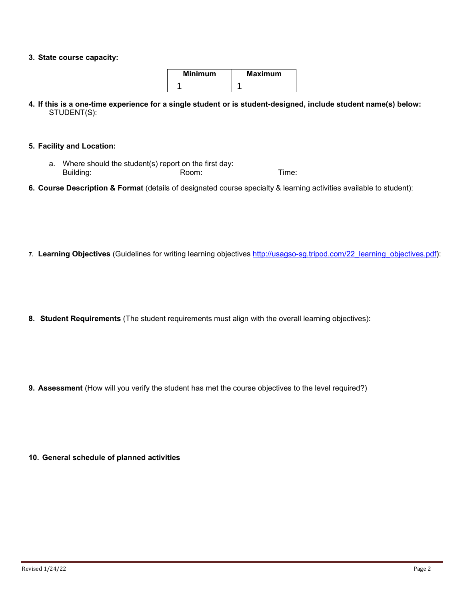### **3. State course capacity:**

| <b>Minimum</b> | <b>Maximum</b> |  |  |
|----------------|----------------|--|--|
|                |                |  |  |

**4. If this is a one-time experience for a single student or is student-designed, include student name(s) below:** STUDENT(S):

### **5. Facility and Location:**

- a. Where should the student(s) report on the first day: Building: Room: Room: Time:
- **6. Course Description & Format** (details of designated course specialty & learning activities available to student):
- 7. Learning Objectives (Guidelines for writing learning objectives [http://usagso-sg.tripod.com/22\\_learning\\_objectives.pdf\)](http://usagso-sg.tripod.com/22_learning_objectives.pdf):
- **8. Student Requirements** (The student requirements must align with the overall learning objectives):

**9. Assessment** (How will you verify the student has met the course objectives to the level required?)

**10. General schedule of planned activities**